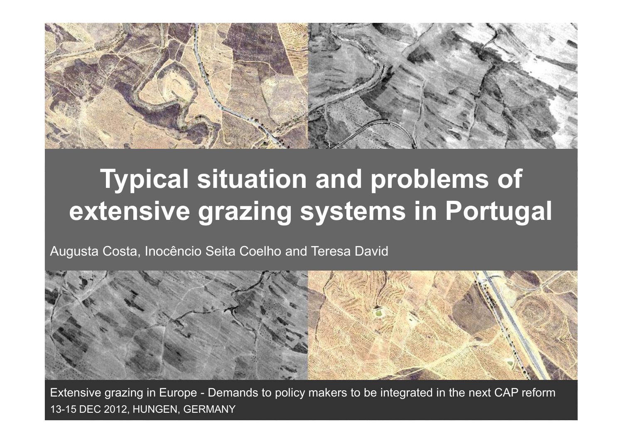

## **Typical situation and problems of extensive grazing systems in Portugal**

Augusta Costa, Inocêncio Seita Coelho and Teresa David



Extensive grazing in Europe - Demands to policy makers to be integrated in the next CAP reform13-15 DEC 2012, HUNGEN, GERMANY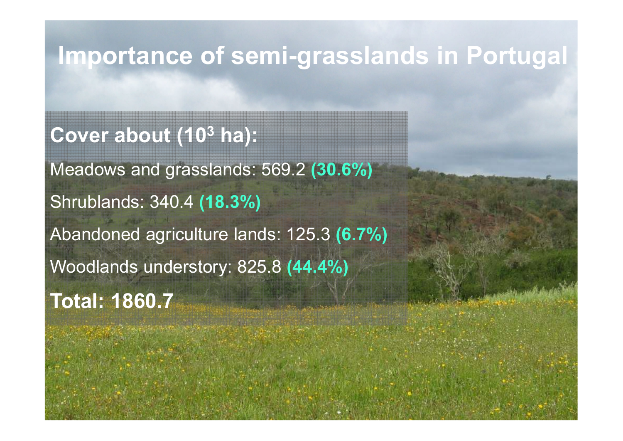### **Importance of semi-grasslands in Portugal**

# **Cover about (10 3 ha):**

Meadows and grasslands: 569.2 **(30.6%)** Shrublands: 340.4 **(18.3%)**Abandoned agriculture lands: 125.3 **(6.7%)** Woodlands understory: 825.8 **(44.4%) Total: 1860.7**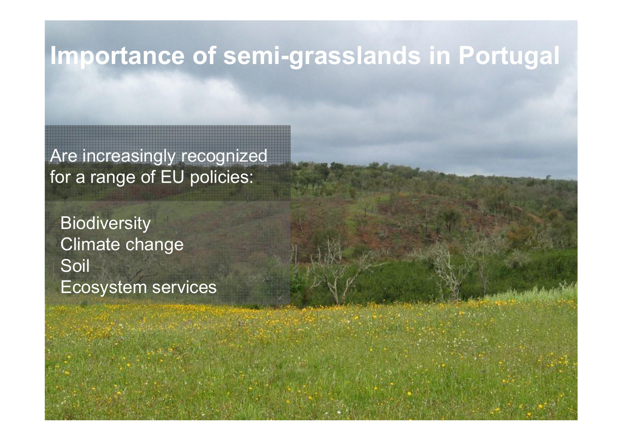### **Importance of semi-grasslands in Portugal**

Are increasingly recognized for a range of EU policies:

**Biodiversity**  Climate changeSoil Ecosystem services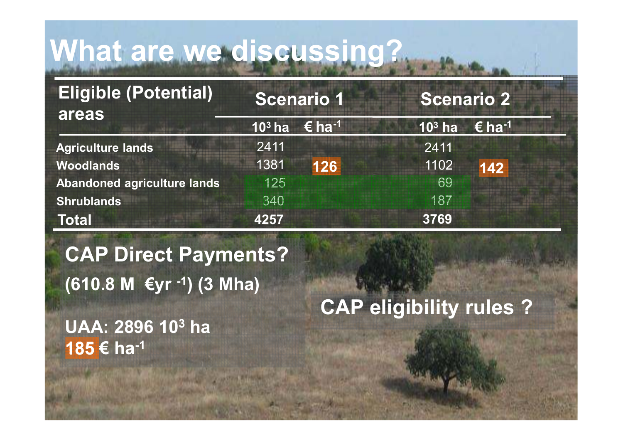#### **In position and set set set set of a set of a set of a set of a set of a set of a set of a set of a set of a set of a set of a set of a set of a set of a set of a set of a set of a set of a set of a set of a set of a set Portugal Internet Constitution What are we discussing?**

| $103$ ha<br>2411 | € ha <sup>-1</sup> | $103$ ha | $\epsilon$ ha <sup>-1</sup> |
|------------------|--------------------|----------|-----------------------------|
|                  |                    |          |                             |
|                  |                    | 2411     |                             |
| 1381             | 126                | 1102     | 142                         |
| 125              |                    | 69       |                             |
| 340              |                    | 187      |                             |
| 4257             |                    | 3769     |                             |
|                  |                    |          |                             |

**CAP Direct Payments?**  $\overline{\phantom{a}}$ **(610.8 M €yr -1) (3 Mha)**

 $\overline{C}$ Solid conservation and the conservation of the conservation of the conservation of the conservation of the conservation of the conservation of the conservation of the conservation of the conservation of the conservation of **185€ ha<sup>-1</sup> UAA: 2896 103 ha** **CAP eligibility rules ?**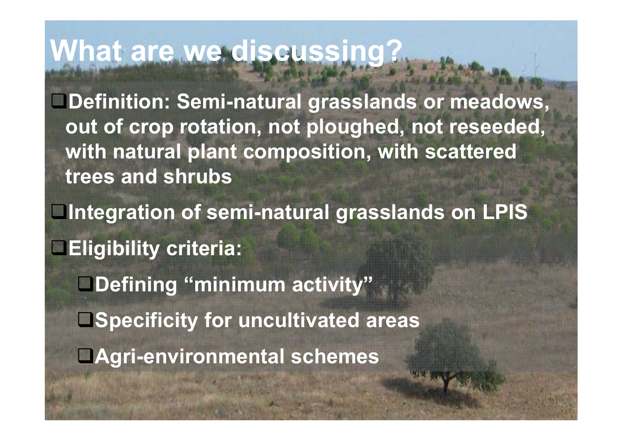#### **In position and set set set set of a set of a set of a set of a set of a set of a set of a set of a set of a set of a set of a set of a set of a set of a set of a set of a set of a set of a set of a set of a set of a set Portugal and Communication What are we discussing?**

**Definition: Semi-natural grasslands or meadows, out of crop rotation, not ploughed, not reseeded, with natural plant composition, with scattered trees and shrubs**

Is increasingly recognized for **Eligibility criteria: C**<br>Captain and the payments of the payment **Integration of semi-natural grasslands on LPIS**

Biodiversity**Climate Climate Climate Climate Climate changes** Soil conservation**Endiri-environmental schemes Defining "minimum activity"**